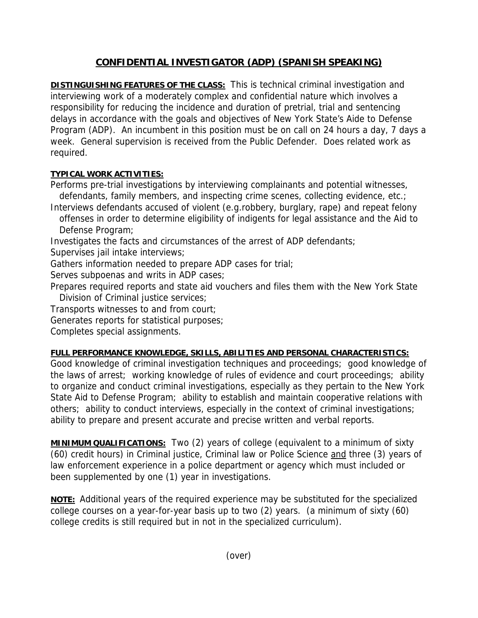## **CONFIDENTIAL INVESTIGATOR (ADP) (SPANISH SPEAKING)**

**DISTINGUISHING FEATURES OF THE CLASS:** This is technical criminal investigation and interviewing work of a moderately complex and confidential nature which involves a responsibility for reducing the incidence and duration of pretrial, trial and sentencing delays in accordance with the goals and objectives of New York State's Aide to Defense Program (ADP). An incumbent in this position must be on call on 24 hours a day, 7 days a week. General supervision is received from the Public Defender. Does related work as required.

## **TYPICAL WORK ACTIVITIES:**

Performs pre-trial investigations by interviewing complainants and potential witnesses, defendants, family members, and inspecting crime scenes, collecting evidence, etc.;

Interviews defendants accused of violent (e.g.robbery, burglary, rape) and repeat felony offenses in order to determine eligibility of indigents for legal assistance and the Aid to Defense Program;

Investigates the facts and circumstances of the arrest of ADP defendants;

Supervises jail intake interviews;

Gathers information needed to prepare ADP cases for trial;

Serves subpoenas and writs in ADP cases;

Prepares required reports and state aid vouchers and files them with the New York State Division of Criminal justice services;

Transports witnesses to and from court;

Generates reports for statistical purposes;

Completes special assignments.

## **FULL PERFORMANCE KNOWLEDGE, SKILLS, ABILITIES AND PERSONAL CHARACTERISTICS:**

Good knowledge of criminal investigation techniques and proceedings; good knowledge of the laws of arrest; working knowledge of rules of evidence and court proceedings; ability to organize and conduct criminal investigations, especially as they pertain to the New York State Aid to Defense Program; ability to establish and maintain cooperative relations with others; ability to conduct interviews, especially in the context of criminal investigations; ability to prepare and present accurate and precise written and verbal reports.

**MINIMUM QUALIFICATIONS:** Two (2) years of college (equivalent to a minimum of sixty (60) credit hours) in Criminal justice, Criminal law or Police Science and three (3) years of law enforcement experience in a police department or agency which must included or been supplemented by one (1) year in investigations.

**NOTE:** Additional years of the required experience may be substituted for the specialized college courses on a year-for-year basis up to two (2) years. (a minimum of sixty (60) college credits is still required but in not in the specialized curriculum).